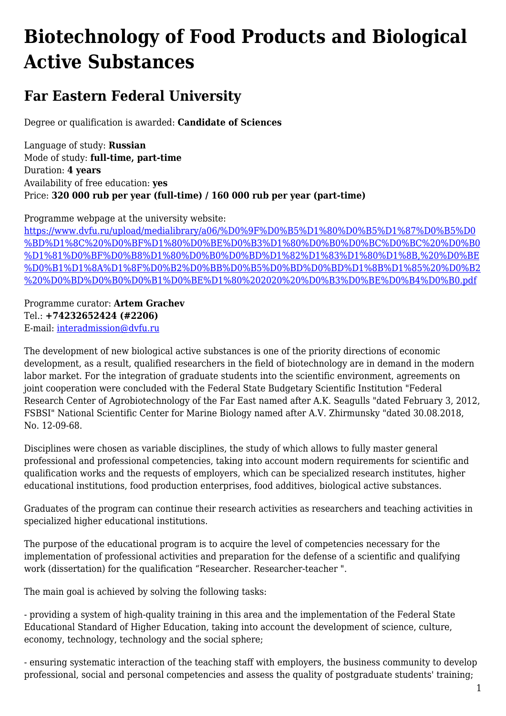## **Biotechnology of Food Products and Biological Active Substances**

## **Far Eastern Federal University**

Degree or qualification is awarded: **Candidate of Sciences**

Language of study: **Russian** Mode of study: **full-time, part-time** Duration: **4 years** Availability of free education: **yes** Price: **320 000 rub per year (full-time) / 160 000 rub per year (part-time)**

Programme webpage at the university website:

[https://www.dvfu.ru/upload/medialibrary/a06/%D0%9F%D0%B5%D1%80%D0%B5%D1%87%D0%B5%D0](https://www.dvfu.ru/upload/medialibrary/a06/%D0%9F%D0%B5%D1%80%D0%B5%D1%87%D0%B5%D0%BD%D1%8C%20%D0%BF%D1%80%D0%BE%D0%B3%D1%80%D0%B0%D0%BC%D0%BC%20%D0%B0%D1%81%D0%BF%D0%B8%D1%80%D0%B0%D0%BD%D1%82%D1%83%D1%80%D1%8B,%20%D0%BE%D0%B1%D1%8A%D1%8F%D0%B2%D0%BB%D0%B5%D0%BD%D0%BD%D1%8B%D1%85%20%D0%B2%20%D0%BD%D0%B0%D0%B1%D0%BE%D1%80%202020%20%D0%B3%D0%BE%D0%B4%D0%B0.pdf) [%BD%D1%8C%20%D0%BF%D1%80%D0%BE%D0%B3%D1%80%D0%B0%D0%BC%D0%BC%20%D0%B0](https://www.dvfu.ru/upload/medialibrary/a06/%D0%9F%D0%B5%D1%80%D0%B5%D1%87%D0%B5%D0%BD%D1%8C%20%D0%BF%D1%80%D0%BE%D0%B3%D1%80%D0%B0%D0%BC%D0%BC%20%D0%B0%D1%81%D0%BF%D0%B8%D1%80%D0%B0%D0%BD%D1%82%D1%83%D1%80%D1%8B,%20%D0%BE%D0%B1%D1%8A%D1%8F%D0%B2%D0%BB%D0%B5%D0%BD%D0%BD%D1%8B%D1%85%20%D0%B2%20%D0%BD%D0%B0%D0%B1%D0%BE%D1%80%202020%20%D0%B3%D0%BE%D0%B4%D0%B0.pdf) [%D1%81%D0%BF%D0%B8%D1%80%D0%B0%D0%BD%D1%82%D1%83%D1%80%D1%8B,%20%D0%BE](https://www.dvfu.ru/upload/medialibrary/a06/%D0%9F%D0%B5%D1%80%D0%B5%D1%87%D0%B5%D0%BD%D1%8C%20%D0%BF%D1%80%D0%BE%D0%B3%D1%80%D0%B0%D0%BC%D0%BC%20%D0%B0%D1%81%D0%BF%D0%B8%D1%80%D0%B0%D0%BD%D1%82%D1%83%D1%80%D1%8B,%20%D0%BE%D0%B1%D1%8A%D1%8F%D0%B2%D0%BB%D0%B5%D0%BD%D0%BD%D1%8B%D1%85%20%D0%B2%20%D0%BD%D0%B0%D0%B1%D0%BE%D1%80%202020%20%D0%B3%D0%BE%D0%B4%D0%B0.pdf) [%D0%B1%D1%8A%D1%8F%D0%B2%D0%BB%D0%B5%D0%BD%D0%BD%D1%8B%D1%85%20%D0%B2](https://www.dvfu.ru/upload/medialibrary/a06/%D0%9F%D0%B5%D1%80%D0%B5%D1%87%D0%B5%D0%BD%D1%8C%20%D0%BF%D1%80%D0%BE%D0%B3%D1%80%D0%B0%D0%BC%D0%BC%20%D0%B0%D1%81%D0%BF%D0%B8%D1%80%D0%B0%D0%BD%D1%82%D1%83%D1%80%D1%8B,%20%D0%BE%D0%B1%D1%8A%D1%8F%D0%B2%D0%BB%D0%B5%D0%BD%D0%BD%D1%8B%D1%85%20%D0%B2%20%D0%BD%D0%B0%D0%B1%D0%BE%D1%80%202020%20%D0%B3%D0%BE%D0%B4%D0%B0.pdf) [%20%D0%BD%D0%B0%D0%B1%D0%BE%D1%80%202020%20%D0%B3%D0%BE%D0%B4%D0%B0.pdf](https://www.dvfu.ru/upload/medialibrary/a06/%D0%9F%D0%B5%D1%80%D0%B5%D1%87%D0%B5%D0%BD%D1%8C%20%D0%BF%D1%80%D0%BE%D0%B3%D1%80%D0%B0%D0%BC%D0%BC%20%D0%B0%D1%81%D0%BF%D0%B8%D1%80%D0%B0%D0%BD%D1%82%D1%83%D1%80%D1%8B,%20%D0%BE%D0%B1%D1%8A%D1%8F%D0%B2%D0%BB%D0%B5%D0%BD%D0%BD%D1%8B%D1%85%20%D0%B2%20%D0%BD%D0%B0%D0%B1%D0%BE%D1%80%202020%20%D0%B3%D0%BE%D0%B4%D0%B0.pdf)

Programme curator: **Artem Grachev** Tel.: **+74232652424 (#2206)** E-mail: [interadmission@dvfu.ru](mailto:interadmission@dvfu.ru)

The development of new biological active substances is one of the priority directions of economic development, as a result, qualified researchers in the field of biotechnology are in demand in the modern labor market. For the integration of graduate students into the scientific environment, agreements on joint cooperation were concluded with the Federal State Budgetary Scientific Institution "Federal Research Center of Agrobiotechnology of the Far East named after A.K. Seagulls "dated February 3, 2012, FSBSI" National Scientific Center for Marine Biology named after A.V. Zhirmunsky "dated 30.08.2018, No. 12-09-68.

Disciplines were chosen as variable disciplines, the study of which allows to fully master general professional and professional competencies, taking into account modern requirements for scientific and qualification works and the requests of employers, which can be specialized research institutes, higher educational institutions, food production enterprises, food additives, biological active substances.

Graduates of the program can continue their research activities as researchers and teaching activities in specialized higher educational institutions.

The purpose of the educational program is to acquire the level of competencies necessary for the implementation of professional activities and preparation for the defense of a scientific and qualifying work (dissertation) for the qualification "Researcher. Researcher-teacher ".

The main goal is achieved by solving the following tasks:

- providing a system of high-quality training in this area and the implementation of the Federal State Educational Standard of Higher Education, taking into account the development of science, culture, economy, technology, technology and the social sphere;

- ensuring systematic interaction of the teaching staff with employers, the business community to develop professional, social and personal competencies and assess the quality of postgraduate students' training;